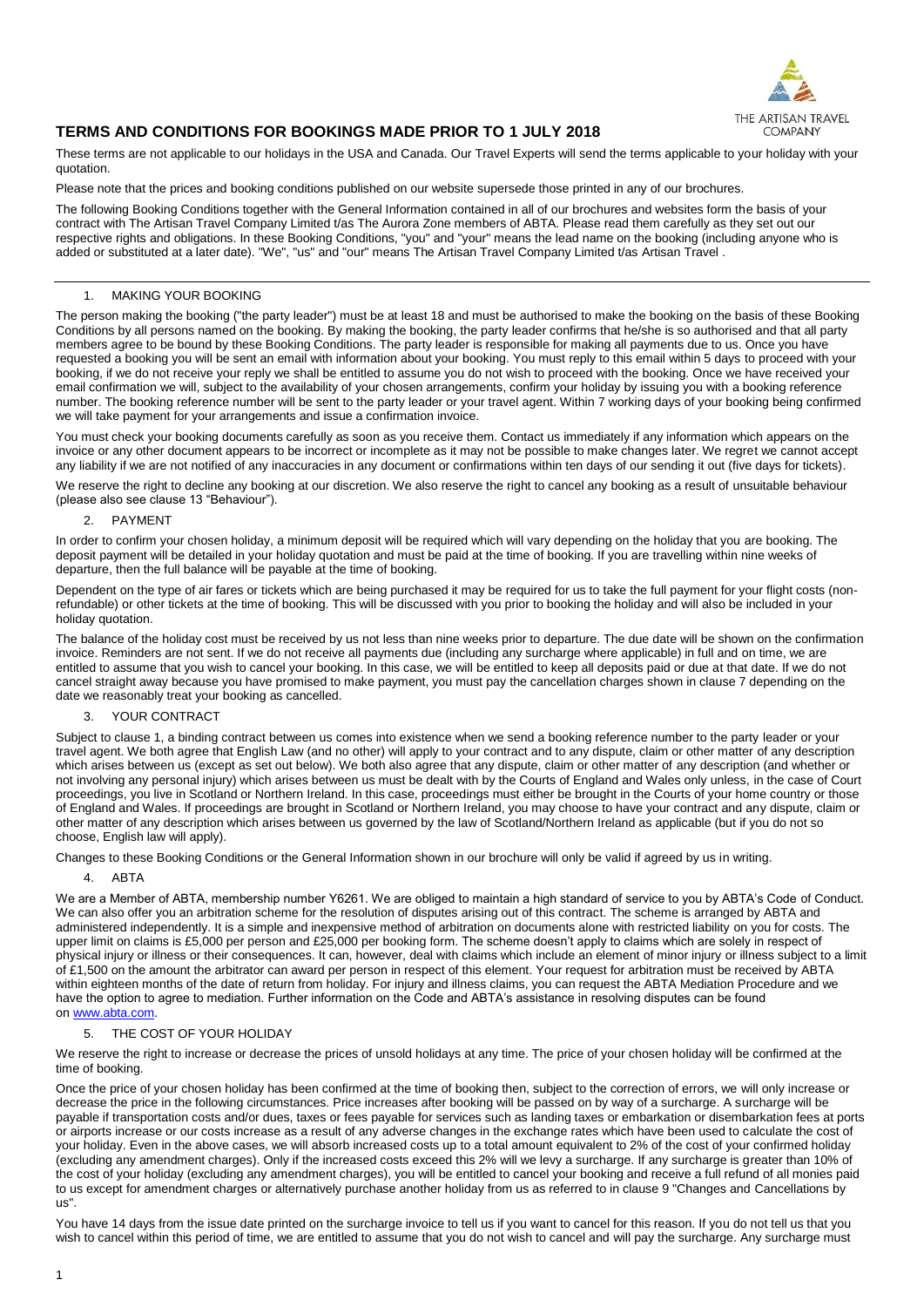

# **TERMS AND CONDITIONS FOR BOOKINGS MADE PRIOR TO 1 JULY 2018**

These terms are not applicable to our holidays in the USA and Canada. Our Travel Experts will send the terms applicable to your holiday with your quotation.

Please note that the prices and booking conditions published on our website supersede those printed in any of our brochures.

The following Booking Conditions together with the General Information contained in all of our brochures and websites form the basis of your contract with The Artisan Travel Company Limited t/as The Aurora Zone members of ABTA. Please read them carefully as they set out our respective rights and obligations. In these Booking Conditions, "you" and "your" means the lead name on the booking (including anyone who is added or substituted at a later date). "We", "us" and "our" means The Artisan Travel Company Limited t/as Artisan Travel .

## 1. MAKING YOUR BOOKING

The person making the booking ("the party leader") must be at least 18 and must be authorised to make the booking on the basis of these Booking Conditions by all persons named on the booking. By making the booking, the party leader confirms that he/she is so authorised and that all party members agree to be bound by these Booking Conditions. The party leader is responsible for making all payments due to us. Once you have requested a booking you will be sent an email with information about your booking. You must reply to this email within 5 days to proceed with your booking, if we do not receive your reply we shall be entitled to assume you do not wish to proceed with the booking. Once we have received your email confirmation we will, subject to the availability of your chosen arrangements, confirm your holiday by issuing you with a booking reference number. The booking reference number will be sent to the party leader or your travel agent. Within 7 working days of your booking being confirmed we will take payment for your arrangements and issue a confirmation invoice.

You must check your booking documents carefully as soon as you receive them. Contact us immediately if any information which appears on the invoice or any other document appears to be incorrect or incomplete as it may not be possible to make changes later. We regret we cannot accept any liability if we are not notified of any inaccuracies in any document or confirmations within ten days of our sending it out (five days for tickets).

We reserve the right to decline any booking at our discretion. We also reserve the right to cancel any booking as a result of unsuitable behaviour (please also see clause 13 "Behaviour").

# 2. PAYMENT

In order to confirm your chosen holiday, a minimum deposit will be required which will vary depending on the holiday that you are booking. The deposit payment will be detailed in your holiday quotation and must be paid at the time of booking. If you are travelling within nine weeks of departure, then the full balance will be payable at the time of booking.

Dependent on the type of air fares or tickets which are being purchased it may be required for us to take the full payment for your flight costs (nonrefundable) or other tickets at the time of booking. This will be discussed with you prior to booking the holiday and will also be included in your holiday quotation.

The balance of the holiday cost must be received by us not less than nine weeks prior to departure. The due date will be shown on the confirmation invoice. Reminders are not sent. If we do not receive all payments due (including any surcharge where applicable) in full and on time, we are entitled to assume that you wish to cancel your booking. In this case, we will be entitled to keep all deposits paid or due at that date. If we do not cancel straight away because you have promised to make payment, you must pay the cancellation charges shown in clause 7 depending on the date we reasonably treat your booking as cancelled.

## 3. YOUR CONTRACT

Subject to clause 1, a binding contract between us comes into existence when we send a booking reference number to the party leader or your travel agent. We both agree that English Law (and no other) will apply to your contract and to any dispute, claim or other matter of any description which arises between us (except as set out below). We both also agree that any dispute, claim or other matter of any description (and whether or not involving any personal injury) which arises between us must be dealt with by the Courts of England and Wales only unless, in the case of Court proceedings, you live in Scotland or Northern Ireland. In this case, proceedings must either be brought in the Courts of your home country or those of England and Wales. If proceedings are brought in Scotland or Northern Ireland, you may choose to have your contract and any dispute, claim or other matter of any description which arises between us governed by the law of Scotland/Northern Ireland as applicable (but if you do not so choose, English law will apply).

Changes to these Booking Conditions or the General Information shown in our brochure will only be valid if agreed by us in writing.

4. ABTA

We are a Member of ABTA, membership number Y6261. We are obliged to maintain a high standard of service to you by ABTA's Code of Conduct. We can also offer you an arbitration scheme for the resolution of disputes arising out of this contract. The scheme is arranged by ABTA and administered independently. It is a simple and inexpensive method of arbitration on documents alone with restricted liability on you for costs. The upper limit on claims is £5,000 per person and £25,000 per booking form. The scheme doesn't apply to claims which are solely in respect of physical injury or illness or their consequences. It can, however, deal with claims which include an element of minor injury or illness subject to a limit of £1,500 on the amount the arbitrator can award per person in respect of this element. Your request for arbitration must be received by ABTA within eighteen months of the date of return from holiday. For injury and illness claims, you can request the ABTA Mediation Procedure and we have the option to agree to mediation. Further information on the Code and ABTA's assistance in resolving disputes can be found on [www.abta.com.](http://www.abta.com/)

#### 5. THE COST OF YOUR HOLIDAY

We reserve the right to increase or decrease the prices of unsold holidays at any time. The price of your chosen holiday will be confirmed at the time of booking.

Once the price of your chosen holiday has been confirmed at the time of booking then, subject to the correction of errors, we will only increase or decrease the price in the following circumstances. Price increases after booking will be passed on by way of a surcharge. A surcharge will be payable if transportation costs and/or dues, taxes or fees payable for services such as landing taxes or embarkation or disembarkation fees at ports or airports increase or our costs increase as a result of any adverse changes in the exchange rates which have been used to calculate the cost of your holiday. Even in the above cases, we will absorb increased costs up to a total amount equivalent to 2% of the cost of your confirmed holiday (excluding any amendment charges). Only if the increased costs exceed this 2% will we levy a surcharge. If any surcharge is greater than 10% of the cost of your holiday (excluding any amendment charges), you will be entitled to cancel your booking and receive a full refund of all monies paid to us except for amendment charges or alternatively purchase another holiday from us as referred to in clause 9 "Changes and Cancellations by us".

You have 14 days from the issue date printed on the surcharge invoice to tell us if you want to cancel for this reason. If you do not tell us that you wish to cancel within this period of time, we are entitled to assume that you do not wish to cancel and will pay the surcharge. Any surcharge must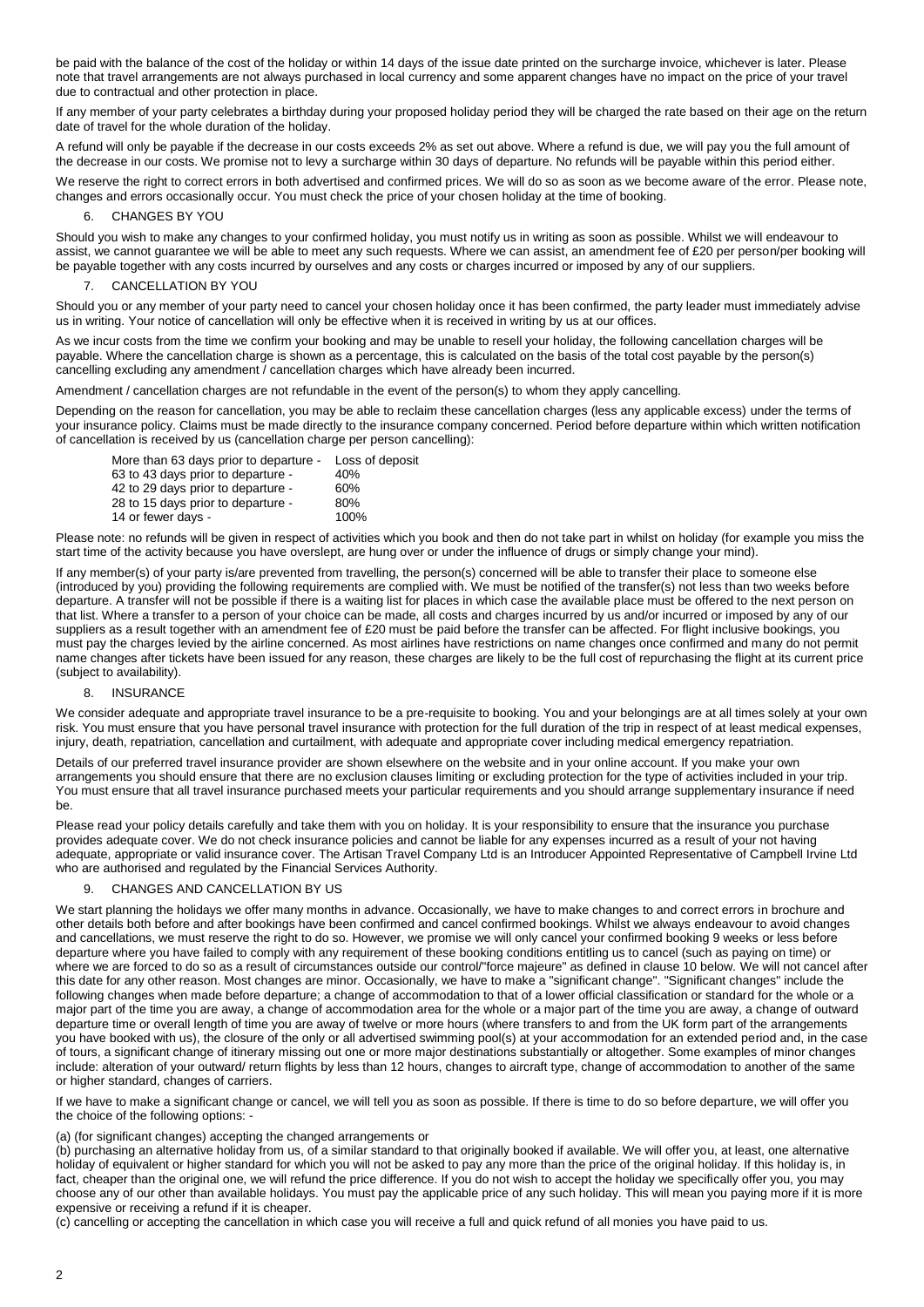be paid with the balance of the cost of the holiday or within 14 days of the issue date printed on the surcharge invoice, whichever is later. Please note that travel arrangements are not always purchased in local currency and some apparent changes have no impact on the price of your travel due to contractual and other protection in place.

If any member of your party celebrates a birthday during your proposed holiday period they will be charged the rate based on their age on the return date of travel for the whole duration of the holiday.

A refund will only be payable if the decrease in our costs exceeds 2% as set out above. Where a refund is due, we will pay you the full amount of the decrease in our costs. We promise not to levy a surcharge within 30 days of departure. No refunds will be payable within this period either.

We reserve the right to correct errors in both advertised and confirmed prices. We will do so as soon as we become aware of the error. Please note, changes and errors occasionally occur. You must check the price of your chosen holiday at the time of booking.

## 6. CHANGES BY YOU

Should you wish to make any changes to your confirmed holiday, you must notify us in writing as soon as possible. Whilst we will endeavour to assist, we cannot guarantee we will be able to meet any such requests. Where we can assist, an amendment fee of £20 per person/per booking will be payable together with any costs incurred by ourselves and any costs or charges incurred or imposed by any of our suppliers.

# 7. CANCELLATION BY YOU

Should you or any member of your party need to cancel your chosen holiday once it has been confirmed, the party leader must immediately advise us in writing. Your notice of cancellation will only be effective when it is received in writing by us at our offices.

As we incur costs from the time we confirm your booking and may be unable to resell your holiday, the following cancellation charges will be payable. Where the cancellation charge is shown as a percentage, this is calculated on the basis of the total cost payable by the person(s) cancelling excluding any amendment / cancellation charges which have already been incurred.

Amendment / cancellation charges are not refundable in the event of the person(s) to whom they apply cancelling

Depending on the reason for cancellation, you may be able to reclaim these cancellation charges (less any applicable excess) under the terms of your insurance policy. Claims must be made directly to the insurance company concerned. Period before departure within which written notification of cancellation is received by us (cancellation charge per person cancelling):

| More than 63 days prior to departure - Loss of deposit |      |
|--------------------------------------------------------|------|
| 63 to 43 days prior to departure -                     | 40%  |
| 42 to 29 days prior to departure -                     | 60%  |
| 28 to 15 days prior to departure -                     | 80%  |
| 14 or fewer days -                                     | 100% |

Please note: no refunds will be given in respect of activities which you book and then do not take part in whilst on holiday (for example you miss the start time of the activity because you have overslept, are hung over or under the influence of drugs or simply change your mind).

If any member(s) of your party is/are prevented from travelling, the person(s) concerned will be able to transfer their place to someone else (introduced by you) providing the following requirements are complied with. We must be notified of the transfer(s) not less than two weeks before departure. A transfer will not be possible if there is a waiting list for places in which case the available place must be offered to the next person on that list. Where a transfer to a person of your choice can be made, all costs and charges incurred by us and/or incurred or imposed by any of our suppliers as a result together with an amendment fee of £20 must be paid before the transfer can be affected. For flight inclusive bookings, you must pay the charges levied by the airline concerned. As most airlines have restrictions on name changes once confirmed and many do not permit name changes after tickets have been issued for any reason, these charges are likely to be the full cost of repurchasing the flight at its current price (subject to availability).

## 8. INSURANCE

We consider adequate and appropriate travel insurance to be a pre-requisite to booking. You and your belongings are at all times solely at your own risk. You must ensure that you have personal travel insurance with protection for the full duration of the trip in respect of at least medical expenses, injury, death, repatriation, cancellation and curtailment, with adequate and appropriate cover including medical emergency repatriation.

Details of our preferred travel insurance provider are shown elsewhere on the website and in your online account. If you make your own arrangements you should ensure that there are no exclusion clauses limiting or excluding protection for the type of activities included in your trip. You must ensure that all travel insurance purchased meets your particular requirements and you should arrange supplementary insurance if need be.

Please read your policy details carefully and take them with you on holiday. It is your responsibility to ensure that the insurance you purchase provides adequate cover. We do not check insurance policies and cannot be liable for any expenses incurred as a result of your not having adequate, appropriate or valid insurance cover. The Artisan Travel Company Ltd is an Introducer Appointed Representative of Campbell Irvine Ltd who are authorised and regulated by the Financial Services Authority.

#### CHANGES AND CANCELLATION BY US

We start planning the holidays we offer many months in advance. Occasionally, we have to make changes to and correct errors in brochure and other details both before and after bookings have been confirmed and cancel confirmed bookings. Whilst we always endeavour to avoid changes and cancellations, we must reserve the right to do so. However, we promise we will only cancel your confirmed booking 9 weeks or less before departure where you have failed to comply with any requirement of these booking conditions entitling us to cancel (such as paying on time) or where we are forced to do so as a result of circumstances outside our control/"force majeure" as defined in clause 10 below. We will not cancel after this date for any other reason. Most changes are minor. Occasionally, we have to make a "significant change". "Significant changes" include the following changes when made before departure; a change of accommodation to that of a lower official classification or standard for the whole or a major part of the time you are away, a change of accommodation area for the whole or a major part of the time you are away, a change of outward departure time or overall length of time you are away of twelve or more hours (where transfers to and from the UK form part of the arrangements you have booked with us), the closure of the only or all advertised swimming pool(s) at your accommodation for an extended period and, in the case of tours, a significant change of itinerary missing out one or more major destinations substantially or altogether. Some examples of minor changes include: alteration of your outward/ return flights by less than 12 hours, changes to aircraft type, change of accommodation to another of the same or higher standard, changes of carriers.

If we have to make a significant change or cancel, we will tell you as soon as possible. If there is time to do so before departure, we will offer you the choice of the following options: -

#### (a) (for significant changes) accepting the changed arrangements or

(b) purchasing an alternative holiday from us, of a similar standard to that originally booked if available. We will offer you, at least, one alternative holiday of equivalent or higher standard for which you will not be asked to pay any more than the price of the original holiday. If this holiday is, in fact, cheaper than the original one, we will refund the price difference. If you do not wish to accept the holiday we specifically offer you, you may choose any of our other than available holidays. You must pay the applicable price of any such holiday. This will mean you paying more if it is more expensive or receiving a refund if it is cheaper.

(c) cancelling or accepting the cancellation in which case you will receive a full and quick refund of all monies you have paid to us.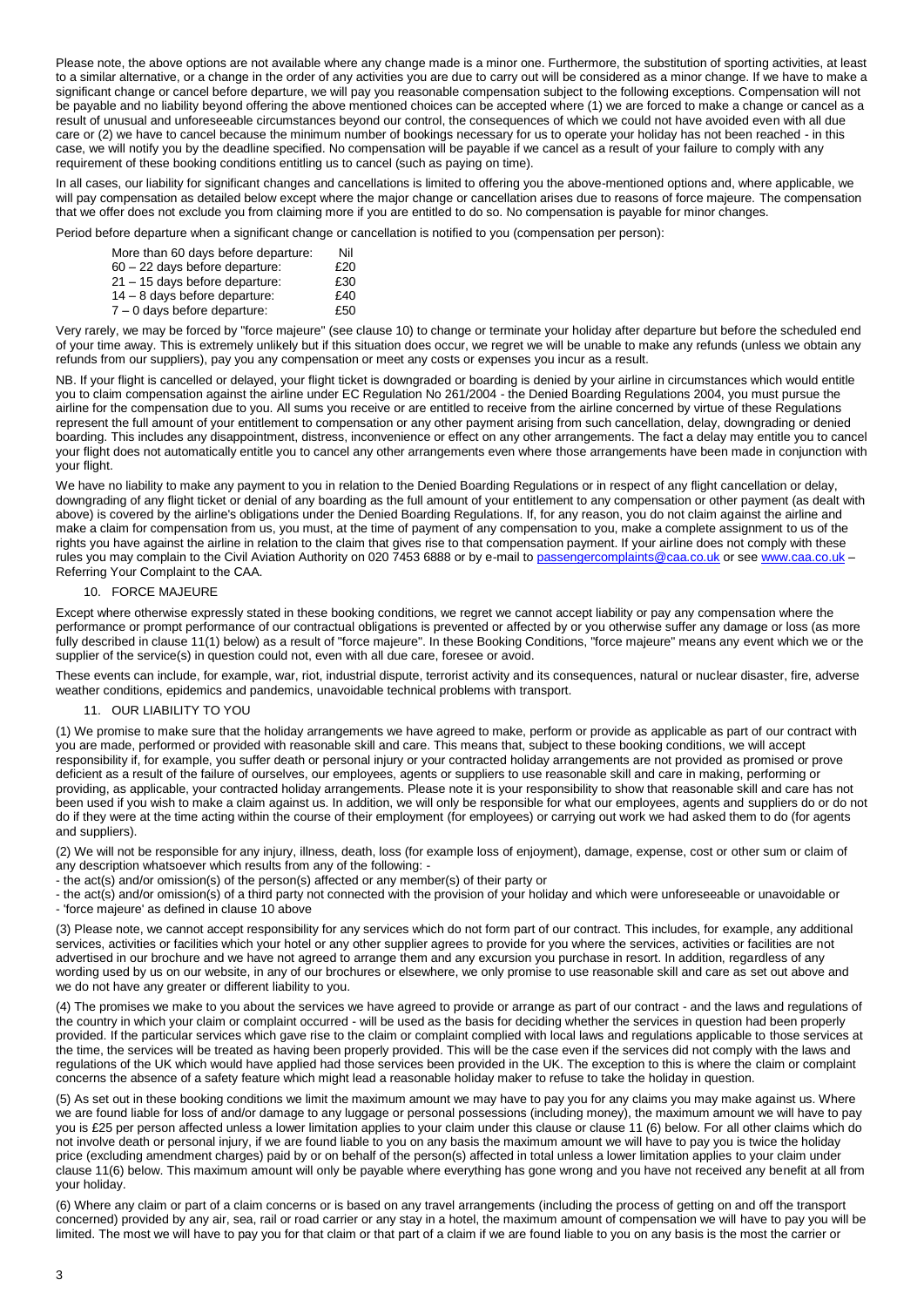Please note, the above options are not available where any change made is a minor one. Furthermore, the substitution of sporting activities, at least to a similar alternative, or a change in the order of any activities you are due to carry out will be considered as a minor change. If we have to make a significant change or cancel before departure, we will pay you reasonable compensation subject to the following exceptions. Compensation will not be payable and no liability beyond offering the above mentioned choices can be accepted where (1) we are forced to make a change or cancel as a result of unusual and unforeseeable circumstances beyond our control, the consequences of which we could not have avoided even with all due care or (2) we have to cancel because the minimum number of bookings necessary for us to operate your holiday has not been reached - in this case, we will notify you by the deadline specified. No compensation will be payable if we cancel as a result of your failure to comply with any requirement of these booking conditions entitling us to cancel (such as paying on time).

In all cases, our liability for significant changes and cancellations is limited to offering you the above-mentioned options and, where applicable, we will pay compensation as detailed below except where the major change or cancellation arises due to reasons of force majeure. The compensation that we offer does not exclude you from claiming more if you are entitled to do so. No compensation is payable for minor changes.

Period before departure when a significant change or cancellation is notified to you (compensation per person):

| More than 60 days before departure: | Nil |
|-------------------------------------|-----|
| 60 - 22 days before departure:      | £20 |
| 21 - 15 days before departure:      | £30 |
| 14 - 8 days before departure:       | £40 |
| 7 – 0 days before departure:        | £50 |

Very rarely, we may be forced by "force majeure" (see clause 10) to change or terminate your holiday after departure but before the scheduled end of your time away. This is extremely unlikely but if this situation does occur, we regret we will be unable to make any refunds (unless we obtain any refunds from our suppliers), pay you any compensation or meet any costs or expenses you incur as a result.

NB. If your flight is cancelled or delayed, your flight ticket is downgraded or boarding is denied by your airline in circumstances which would entitle you to claim compensation against the airline under EC Regulation No 261/2004 - the Denied Boarding Regulations 2004, you must pursue the airline for the compensation due to you. All sums you receive or are entitled to receive from the airline concerned by virtue of these Regulations represent the full amount of your entitlement to compensation or any other payment arising from such cancellation, delay, downgrading or denied boarding. This includes any disappointment, distress, inconvenience or effect on any other arrangements. The fact a delay may entitle you to cancel your flight does not automatically entitle you to cancel any other arrangements even where those arrangements have been made in conjunction with your flight.

We have no liability to make any payment to you in relation to the Denied Boarding Regulations or in respect of any flight cancellation or delay, downgrading of any flight ticket or denial of any boarding as the full amount of your entitlement to any compensation or other payment (as dealt with above) is covered by the airline's obligations under the Denied Boarding Regulations. If, for any reason, you do not claim against the airline and make a claim for compensation from us, you must, at the time of payment of any compensation to you, make a complete assignment to us of the rights you have against the airline in relation to the claim that gives rise to that compensation payment. If your airline does not comply with these rules you may complain to the Civil Aviation Authority on 020 7453 6888 or by e-mail to [passengercomplaints@caa.co.uk](mailto:passengercomplaints@caa.co.uk) or see [www.caa.co.uk](http://www.caa.co.uk/) – Referring Your Complaint to the CAA.

# 10. FORCE MAJEURE

Except where otherwise expressly stated in these booking conditions, we regret we cannot accept liability or pay any compensation where the performance or prompt performance of our contractual obligations is prevented or affected by or you otherwise suffer any damage or loss (as more fully described in clause 11(1) below) as a result of "force majeure". In these Booking Conditions, "force majeure" means any event which we or the supplier of the service(s) in question could not, even with all due care, foresee or avoid.

These events can include, for example, war, riot, industrial dispute, terrorist activity and its consequences, natural or nuclear disaster, fire, adverse weather conditions, epidemics and pandemics, unavoidable technical problems with transport.

# 11. OUR LIABILITY TO YOU

(1) We promise to make sure that the holiday arrangements we have agreed to make, perform or provide as applicable as part of our contract with you are made, performed or provided with reasonable skill and care. This means that, subject to these booking conditions, we will accept responsibility if, for example, you suffer death or personal injury or your contracted holiday arrangements are not provided as promised or prove deficient as a result of the failure of ourselves, our employees, agents or suppliers to use reasonable skill and care in making, performing or providing, as applicable, your contracted holiday arrangements. Please note it is your responsibility to show that reasonable skill and care has not been used if you wish to make a claim against us. In addition, we will only be responsible for what our employees, agents and suppliers do or do not do if they were at the time acting within the course of their employment (for employees) or carrying out work we had asked them to do (for agents and suppliers).

(2) We will not be responsible for any injury, illness, death, loss (for example loss of enjoyment), damage, expense, cost or other sum or claim of any description whatsoever which results from any of the following: -

- the act(s) and/or omission(s) of the person(s) affected or any member(s) of their party or

- the act(s) and/or omission(s) of a third party not connected with the provision of your holiday and which were unforeseeable or unavoidable or - 'force majeure' as defined in clause 10 above

(3) Please note, we cannot accept responsibility for any services which do not form part of our contract. This includes, for example, any additional services, activities or facilities which your hotel or any other supplier agrees to provide for you where the services, activities or facilities are not advertised in our brochure and we have not agreed to arrange them and any excursion you purchase in resort. In addition, regardless of any wording used by us on our website, in any of our brochures or elsewhere, we only promise to use reasonable skill and care as set out above and we do not have any greater or different liability to you.

(4) The promises we make to you about the services we have agreed to provide or arrange as part of our contract - and the laws and regulations of the country in which your claim or complaint occurred - will be used as the basis for deciding whether the services in question had been properly provided. If the particular services which gave rise to the claim or complaint complied with local laws and regulations applicable to those services at the time, the services will be treated as having been properly provided. This will be the case even if the services did not comply with the laws and regulations of the UK which would have applied had those services been provided in the UK. The exception to this is where the claim or complaint concerns the absence of a safety feature which might lead a reasonable holiday maker to refuse to take the holiday in question.

(5) As set out in these booking conditions we limit the maximum amount we may have to pay you for any claims you may make against us. Where we are found liable for loss of and/or damage to any luggage or personal possessions (including money), the maximum amount we will have to pay you is £25 per person affected unless a lower limitation applies to your claim under this clause or clause 11 (6) below. For all other claims which do not involve death or personal injury, if we are found liable to you on any basis the maximum amount we will have to pay you is twice the holiday price (excluding amendment charges) paid by or on behalf of the person(s) affected in total unless a lower limitation applies to your claim under clause 11(6) below. This maximum amount will only be payable where everything has gone wrong and you have not received any benefit at all from your holiday.

(6) Where any claim or part of a claim concerns or is based on any travel arrangements (including the process of getting on and off the transport concerned) provided by any air, sea, rail or road carrier or any stay in a hotel, the maximum amount of compensation we will have to pay you will be limited. The most we will have to pay you for that claim or that part of a claim if we are found liable to you on any basis is the most the carrier or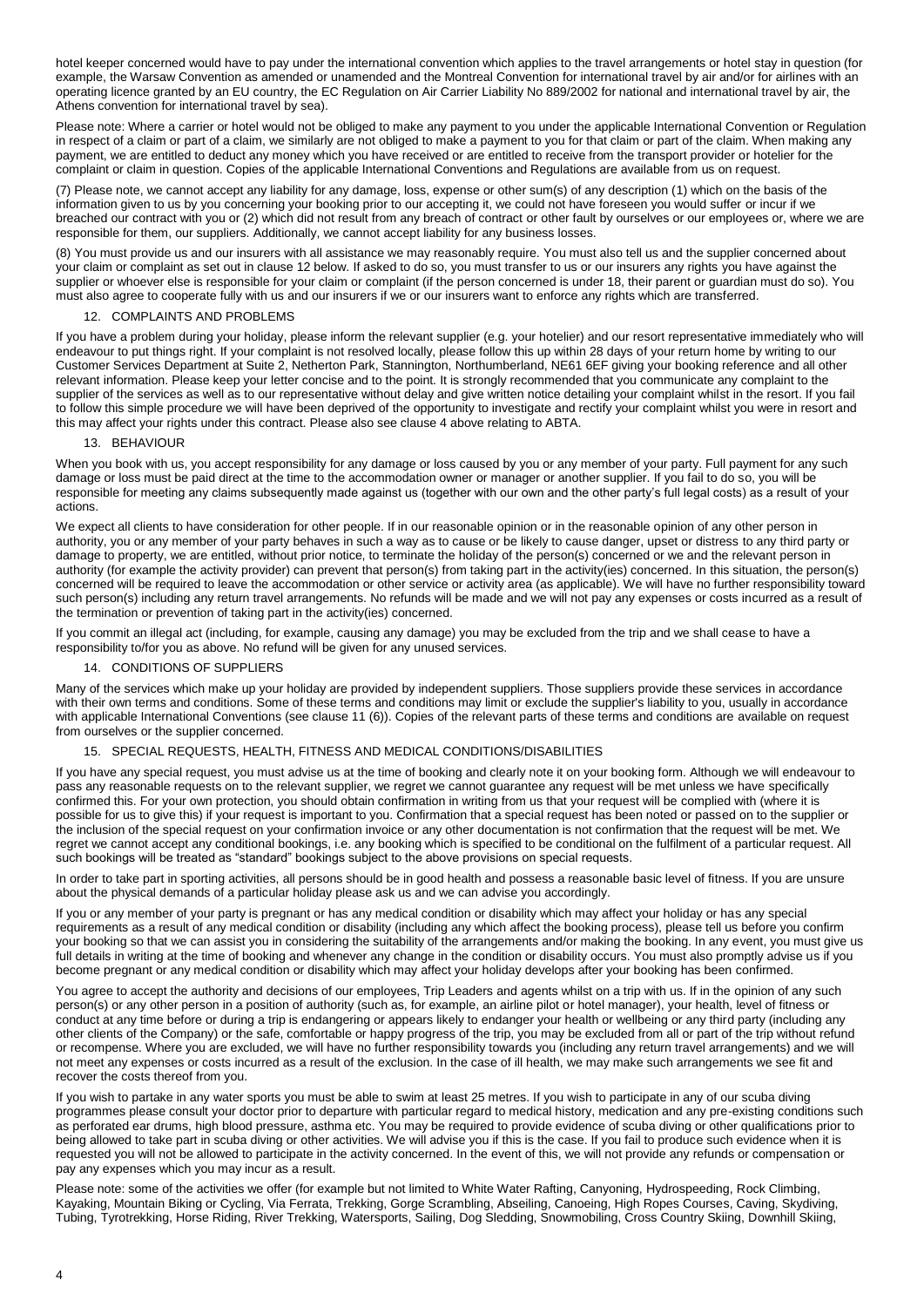hotel keeper concerned would have to pay under the international convention which applies to the travel arrangements or hotel stay in question (for example, the Warsaw Convention as amended or unamended and the Montreal Convention for international travel by air and/or for airlines with an operating licence granted by an EU country, the EC Regulation on Air Carrier Liability No 889/2002 for national and international travel by air, the Athens convention for international travel by sea).

Please note: Where a carrier or hotel would not be obliged to make any payment to you under the applicable International Convention or Regulation in respect of a claim or part of a claim, we similarly are not obliged to make a payment to you for that claim or part of the claim. When making any payment, we are entitled to deduct any money which you have received or are entitled to receive from the transport provider or hotelier for the complaint or claim in question. Copies of the applicable International Conventions and Regulations are available from us on request.

(7) Please note, we cannot accept any liability for any damage, loss, expense or other sum(s) of any description (1) which on the basis of the information given to us by you concerning your booking prior to our accepting it, we could not have foreseen you would suffer or incur if we breached our contract with you or (2) which did not result from any breach of contract or other fault by ourselves or our employees or, where we are responsible for them, our suppliers. Additionally, we cannot accept liability for any business losses.

(8) You must provide us and our insurers with all assistance we may reasonably require. You must also tell us and the supplier concerned about your claim or complaint as set out in clause 12 below. If asked to do so, you must transfer to us or our insurers any rights you have against the supplier or whoever else is responsible for your claim or complaint (if the person concerned is under 18, their parent or guardian must do so). You must also agree to cooperate fully with us and our insurers if we or our insurers want to enforce any rights which are transferred.

#### 12. COMPLAINTS AND PROBLEMS

If you have a problem during your holiday, please inform the relevant supplier (e.g. your hotelier) and our resort representative immediately who will endeavour to put things right. If your complaint is not resolved locally, please follow this up within 28 days of your return home by writing to our Customer Services Department at Suite 2, Netherton Park, Stannington, Northumberland, NE61 6EF giving your booking reference and all other relevant information. Please keep your letter concise and to the point. It is strongly recommended that you communicate any complaint to the supplier of the services as well as to our representative without delay and give written notice detailing your complaint whilst in the resort. If you fail to follow this simple procedure we will have been deprived of the opportunity to investigate and rectify your complaint whilst you were in resort and this may affect your rights under this contract. Please also see clause 4 above relating to ABTA.

#### 13. BEHAVIOUR

When you book with us, you accept responsibility for any damage or loss caused by you or any member of your party. Full payment for any such damage or loss must be paid direct at the time to the accommodation owner or manager or another supplier. If you fail to do so, you will be responsible for meeting any claims subsequently made against us (together with our own and the other party's full legal costs) as a result of your actions.

We expect all clients to have consideration for other people. If in our reasonable opinion or in the reasonable opinion of any other person in authority, you or any member of your party behaves in such a way as to cause or be likely to cause danger, upset or distress to any third party or damage to property, we are entitled, without prior notice, to terminate the holiday of the person(s) concerned or we and the relevant person in authority (for example the activity provider) can prevent that person(s) from taking part in the activity(ies) concerned. In this situation, the person(s) concerned will be required to leave the accommodation or other service or activity area (as applicable). We will have no further responsibility toward such person(s) including any return travel arrangements. No refunds will be made and we will not pay any expenses or costs incurred as a result of the termination or prevention of taking part in the activity(ies) concerned.

If you commit an illegal act (including, for example, causing any damage) you may be excluded from the trip and we shall cease to have a responsibility to/for you as above. No refund will be given for any unused services.

#### 14. CONDITIONS OF SUPPLIERS

Many of the services which make up your holiday are provided by independent suppliers. Those suppliers provide these services in accordance with their own terms and conditions. Some of these terms and conditions may limit or exclude the supplier's liability to you, usually in accordance with applicable International Conventions (see clause 11 (6)). Copies of the relevant parts of these terms and conditions are available on request from ourselves or the supplier concerned.

#### 15. SPECIAL REQUESTS, HEALTH, FITNESS AND MEDICAL CONDITIONS/DISABILITIES

If you have any special request, you must advise us at the time of booking and clearly note it on your booking form. Although we will endeavour to pass any reasonable requests on to the relevant supplier, we regret we cannot guarantee any request will be met unless we have specifically confirmed this. For your own protection, you should obtain confirmation in writing from us that your request will be complied with (where it is possible for us to give this) if your request is important to you. Confirmation that a special request has been noted or passed on to the supplier or the inclusion of the special request on your confirmation invoice or any other documentation is not confirmation that the request will be met. We regret we cannot accept any conditional bookings, i.e. any booking which is specified to be conditional on the fulfilment of a particular request. All such bookings will be treated as "standard" bookings subject to the above provisions on special requests.

In order to take part in sporting activities, all persons should be in good health and possess a reasonable basic level of fitness. If you are unsure about the physical demands of a particular holiday please ask us and we can advise you accordingly.

If you or any member of your party is pregnant or has any medical condition or disability which may affect your holiday or has any special requirements as a result of any medical condition or disability (including any which affect the booking process), please tell us before you confirm your booking so that we can assist you in considering the suitability of the arrangements and/or making the booking. In any event, you must give us full details in writing at the time of booking and whenever any change in the condition or disability occurs. You must also promptly advise us if you become pregnant or any medical condition or disability which may affect your holiday develops after your booking has been confirmed.

You agree to accept the authority and decisions of our employees, Trip Leaders and agents whilst on a trip with us. If in the opinion of any such person(s) or any other person in a position of authority (such as, for example, an airline pilot or hotel manager), your health, level of fitness or conduct at any time before or during a trip is endangering or appears likely to endanger your health or wellbeing or any third party (including any other clients of the Company) or the safe, comfortable or happy progress of the trip, you may be excluded from all or part of the trip without refund or recompense. Where you are excluded, we will have no further responsibility towards you (including any return travel arrangements) and we will not meet any expenses or costs incurred as a result of the exclusion. In the case of ill health, we may make such arrangements we see fit and recover the costs thereof from you.

If you wish to partake in any water sports you must be able to swim at least 25 metres. If you wish to participate in any of our scuba diving programmes please consult your doctor prior to departure with particular regard to medical history, medication and any pre-existing conditions such as perforated ear drums, high blood pressure, asthma etc. You may be required to provide evidence of scuba diving or other qualifications prior to being allowed to take part in scuba diving or other activities. We will advise you if this is the case. If you fail to produce such evidence when it is requested you will not be allowed to participate in the activity concerned. In the event of this, we will not provide any refunds or compensation or pay any expenses which you may incur as a result.

Please note: some of the activities we offer (for example but not limited to White Water Rafting, Canyoning, Hydrospeeding, Rock Climbing, Kayaking, Mountain Biking or Cycling, Via Ferrata, Trekking, Gorge Scrambling, Abseiling, Canoeing, High Ropes Courses, Caving, Skydiving, Tubing, Tyrotrekking, Horse Riding, River Trekking, Watersports, Sailing, Dog Sledding, Snowmobiling, Cross Country Skiing, Downhill Skiing,